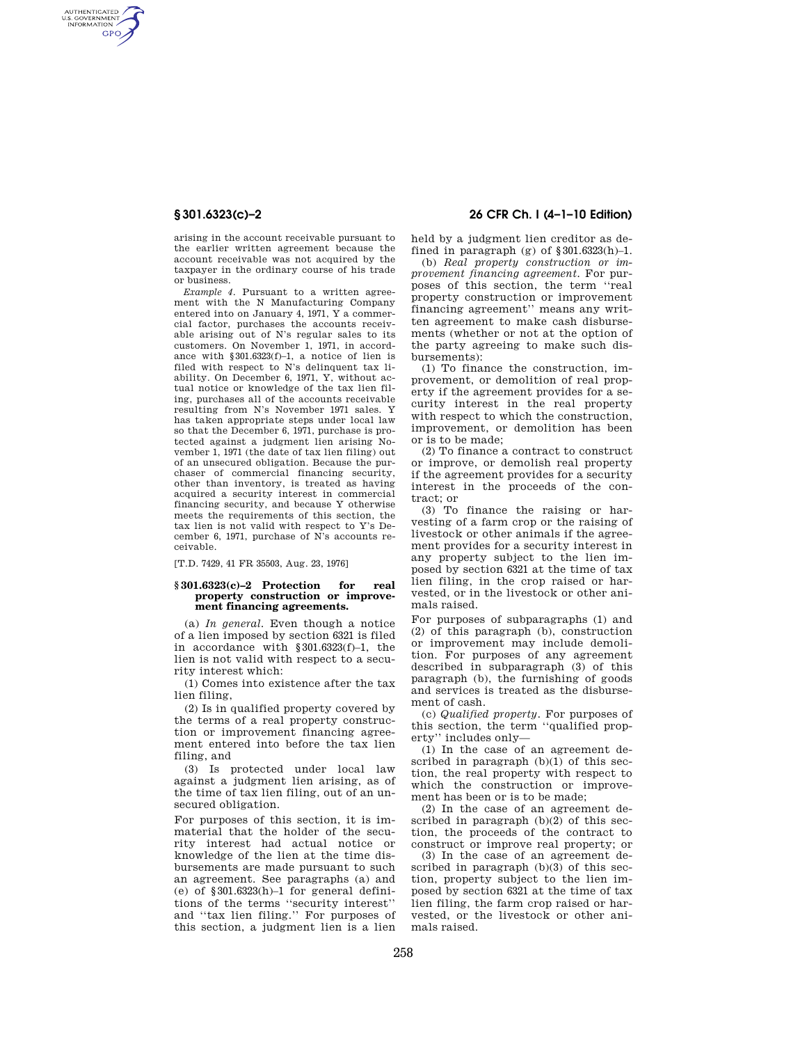AUTHENTICATED<br>U.S. GOVERNMENT<br>INFORMATION **GPO** 

> arising in the account receivable pursuant to the earlier written agreement because the account receivable was not acquired by the taxpayer in the ordinary course of his trade or business.

> *Example 4.* Pursuant to a written agreement with the N Manufacturing Company entered into on January 4, 1971, Y a commercial factor, purchases the accounts receivable arising out of N's regular sales to its customers. On November 1, 1971, in accordance with §301.6323(f)–1, a notice of lien is filed with respect to N's delinquent tax liability. On December 6, 1971, Y, without actual notice or knowledge of the tax lien filing, purchases all of the accounts receivable resulting from N's November 1971 sales. Y has taken appropriate steps under local law so that the December 6, 1971, purchase is protected against a judgment lien arising November 1, 1971 (the date of tax lien filing) out of an unsecured obligation. Because the purchaser of commercial financing security, other than inventory, is treated as having acquired a security interest in commercial financing security, and because Y otherwise meets the requirements of this section, the tax lien is not valid with respect to Y's December 6, 1971, purchase of N's accounts receivable.

[T.D. 7429, 41 FR 35503, Aug. 23, 1976]

## **§ 301.6323(c)–2 Protection for real property construction or improvement financing agreements.**

(a) *In general.* Even though a notice of a lien imposed by section 6321 is filed in accordance with §301.6323(f)–1, the lien is not valid with respect to a security interest which:

(1) Comes into existence after the tax lien filing,

(2) Is in qualified property covered by the terms of a real property construction or improvement financing agreement entered into before the tax lien filing, and

(3) Is protected under local law against a judgment lien arising, as of the time of tax lien filing, out of an unsecured obligation.

For purposes of this section, it is immaterial that the holder of the security interest had actual notice or knowledge of the lien at the time disbursements are made pursuant to such an agreement. See paragraphs (a) and (e) of §301.6323(h)–1 for general definitions of the terms ''security interest'' and ''tax lien filing.'' For purposes of this section, a judgment lien is a lien

# **§ 301.6323(c)–2 26 CFR Ch. I (4–1–10 Edition)**

held by a judgment lien creditor as defined in paragraph (g) of  $\$ 301.6323(h)-1.

(b) *Real property construction or improvement financing agreement.* For purposes of this section, the term ''real property construction or improvement financing agreement'' means any written agreement to make cash disbursements (whether or not at the option of the party agreeing to make such disbursements):

(1) To finance the construction, improvement, or demolition of real property if the agreement provides for a security interest in the real property with respect to which the construction, improvement, or demolition has been or is to be made;

(2) To finance a contract to construct or improve, or demolish real property if the agreement provides for a security interest in the proceeds of the contract; or

(3) To finance the raising or harvesting of a farm crop or the raising of livestock or other animals if the agreement provides for a security interest in any property subject to the lien imposed by section 6321 at the time of tax lien filing, in the crop raised or harvested, or in the livestock or other animals raised.

For purposes of subparagraphs (1) and (2) of this paragraph (b), construction or improvement may include demolition. For purposes of any agreement described in subparagraph (3) of this paragraph (b), the furnishing of goods and services is treated as the disbursement of cash.

(c) *Qualified property.* For purposes of this section, the term ''qualified property'' includes only—

(1) In the case of an agreement described in paragraph (b)(1) of this section, the real property with respect to which the construction or improvement has been or is to be made;

(2) In the case of an agreement described in paragraph (b)(2) of this section, the proceeds of the contract to construct or improve real property; or

(3) In the case of an agreement described in paragraph (b)(3) of this section, property subject to the lien imposed by section 6321 at the time of tax lien filing, the farm crop raised or harvested, or the livestock or other animals raised.